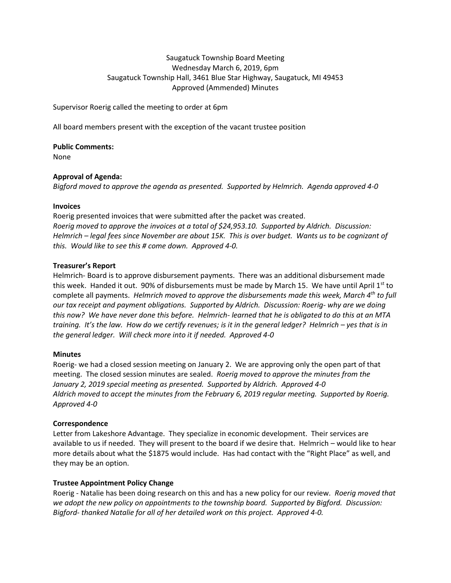# Saugatuck Township Board Meeting Wednesday March 6, 2019, 6pm Saugatuck Township Hall, 3461 Blue Star Highway, Saugatuck, MI 49453 Approved (Ammended) Minutes

Supervisor Roerig called the meeting to order at 6pm

All board members present with the exception of the vacant trustee position

**Public Comments:**  None

## **Approval of Agenda:**

*Bigford moved to approve the agenda as presented. Supported by Helmrich. Agenda approved 4-0*

## **Invoices**

Roerig presented invoices that were submitted after the packet was created. *Roerig moved to approve the invoices at a total of \$24,953.10. Supported by Aldrich. Discussion: Helmrich – legal fees since November are about 15K. This is over budget. Wants us to be cognizant of this. Would like to see this # come down. Approved 4-0.*

## **Treasurer's Report**

Helmrich- Board is to approve disbursement payments. There was an additional disbursement made this week. Handed it out. 90% of disbursements must be made by March 15. We have until April  $1<sup>st</sup>$  to complete all payments. *Helmrich moved to approve the disbursements made this week, March 4th to full our tax receipt and payment obligations. Supported by Aldrich. Discussion: Roerig- why are we doing this now? We have never done this before. Helmrich- learned that he is obligated to do this at an MTA training. It's the law. How do we certify revenues; is it in the general ledger? Helmrich – yes that is in the general ledger. Will check more into it if needed. Approved 4-0*

## **Minutes**

Roerig- we had a closed session meeting on January 2. We are approving only the open part of that meeting. The closed session minutes are sealed. *Roerig moved to approve the minutes from the January 2, 2019 special meeting as presented. Supported by Aldrich. Approved 4-0 Aldrich moved to accept the minutes from the February 6, 2019 regular meeting. Supported by Roerig. Approved 4-0*

# **Correspondence**

Letter from Lakeshore Advantage. They specialize in economic development. Their services are available to us if needed. They will present to the board if we desire that. Helmrich – would like to hear more details about what the \$1875 would include. Has had contact with the "Right Place" as well, and they may be an option.

# **Trustee Appointment Policy Change**

Roerig - Natalie has been doing research on this and has a new policy for our review*. Roerig moved that we adopt the new policy on appointments to the township board. Supported by Bigford. Discussion: Bigford- thanked Natalie for all of her detailed work on this project. Approved 4-0.*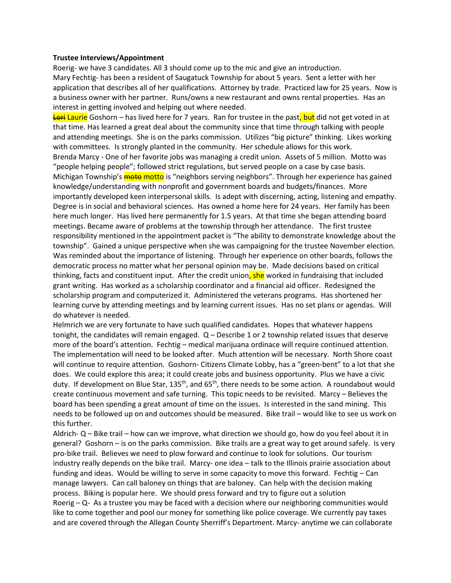#### **Trustee Interviews/Appointment**

Roerig- we have 3 candidates. All 3 should come up to the mic and give an introduction. Mary Fechtig- has been a resident of Saugatuck Township for about 5 years. Sent a letter with her application that describes all of her qualifications. Attorney by trade. Practiced law for 25 years. Now is a business owner with her partner. Runs/owns a new restaurant and owns rental properties. Has an interest in getting involved and helping out where needed.

Lori Laurie Goshorn – has lived here for 7 years. Ran for trustee in the past, but did not get voted in at that time. Has learned a great deal about the community since that time through talking with people and attending meetings. She is on the parks commission. Utilizes "big picture" thinking. Likes working with committees. Is strongly planted in the community. Her schedule allows for this work. Brenda Marcy - One of her favorite jobs was managing a credit union. Assets of 5 million. Motto was "people helping people"; followed strict regulations, but served people on a case by case basis. Michigan Township's **moto** motto is "neighbors serving neighbors". Through her experience has gained knowledge/understanding with nonprofit and government boards and budgets/finances. More importantly developed keen interpersonal skills. Is adept with discerning, acting, listening and empathy. Degree is in social and behavioral sciences. Has owned a home here for 24 years. Her family has been here much longer. Has lived here permanently for 1.5 years. At that time she began attending board meetings. Became aware of problems at the township through her attendance. The first trustee responsibility mentioned in the appointment packet is "The ability to demonstrate knowledge about the township". Gained a unique perspective when she was campaigning for the trustee November election. Was reminded about the importance of listening. Through her experience on other boards, follows the democratic process no matter what her personal opinion may be. Made decisions based on critical thinking, facts and constituent input. After the credit union, she worked in fundraising that included grant writing. Has worked as a scholarship coordinator and a financial aid officer. Redesigned the scholarship program and computerized it. Administered the veterans programs. Has shortened her learning curve by attending meetings and by learning current issues. Has no set plans or agendas. Will do whatever is needed.

Helmrich we are very fortunate to have such qualified candidates. Hopes that whatever happens tonight, the candidates will remain engaged. Q – Describe 1 or 2 township related issues that deserve more of the board's attention. Fechtig – medical marijuana ordinace will require continued attention. The implementation will need to be looked after. Much attention will be necessary. North Shore coast will continue to require attention. Goshorn- Citizens Climate Lobby, has a "green-bent" to a lot that she does. We could explore this area; it could create jobs and business opportunity. Plus we have a civic duty. If development on Blue Star, 135<sup>th</sup>, and 65<sup>th</sup>, there needs to be some action. A roundabout would create continuous movement and safe turning. This topic needs to be revisited. Marcy – Believes the board has been spending a great amount of time on the issues. Is interested in the sand mining. This needs to be followed up on and outcomes should be measured. Bike trail – would like to see us work on this further.

Aldrich- Q – Bike trail – how can we improve, what direction we should go, how do you feel about it in general? Goshorn – is on the parks commission. Bike trails are a great way to get around safely. Is very pro-bike trail. Believes we need to plow forward and continue to look for solutions. Our tourism industry really depends on the bike trail. Marcy- one idea – talk to the Illinois prairie association about funding and ideas. Would be willing to serve in some capacity to move this forward. Fechtig – Can manage lawyers. Can call baloney on things that are baloney. Can help with the decision making process. Biking is popular here. We should press forward and try to figure out a solution Roerig – Q- As a trustee you may be faced with a decision where our neighboring communities would like to come together and pool our money for something like police coverage. We currently pay taxes and are covered through the Allegan County Sherriff's Department. Marcy- anytime we can collaborate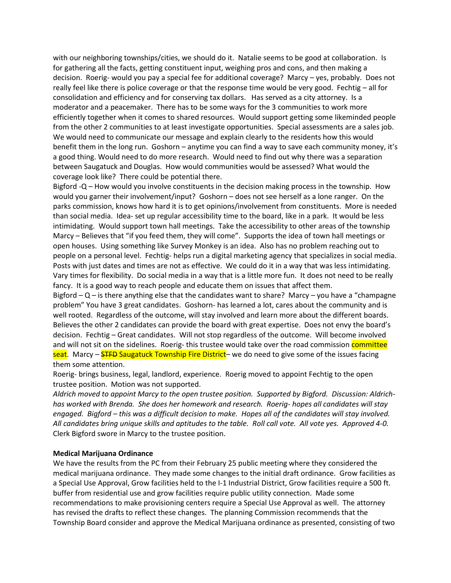with our neighboring townships/cities, we should do it. Natalie seems to be good at collaboration. Is for gathering all the facts, getting constituent input, weighing pros and cons, and then making a decision. Roerig- would you pay a special fee for additional coverage? Marcy – yes, probably. Does not really feel like there is police coverage or that the response time would be very good. Fechtig – all for consolidation and efficiency and for conserving tax dollars. Has served as a city attorney. Is a moderator and a peacemaker. There has to be some ways for the 3 communities to work more efficiently together when it comes to shared resources. Would support getting some likeminded people from the other 2 communities to at least investigate opportunities. Special assessments are a sales job. We would need to communicate our message and explain clearly to the residents how this would benefit them in the long run. Goshorn – anytime you can find a way to save each community money, it's a good thing. Would need to do more research. Would need to find out why there was a separation between Saugatuck and Douglas. How would communities would be assessed? What would the coverage look like? There could be potential there.

Bigford -Q – How would you involve constituents in the decision making process in the township. How would you garner their involvement/input? Goshorn – does not see herself as a lone ranger. On the parks commission, knows how hard it is to get opinions/involvement from constituents. More is needed than social media. Idea- set up regular accessibility time to the board, like in a park. It would be less intimidating. Would support town hall meetings. Take the accessibility to other areas of the township Marcy – Believes that "if you feed them, they will come". Supports the idea of town hall meetings or open houses. Using something like Survey Monkey is an idea. Also has no problem reaching out to people on a personal level. Fechtig- helps run a digital marketing agency that specializes in social media. Posts with just dates and times are not as effective. We could do it in a way that was less intimidating. Vary times for flexibility. Do social media in a way that is a little more fun. It does not need to be really fancy. It is a good way to reach people and educate them on issues that affect them.

Bigford  $-Q$  – is there anything else that the candidates want to share? Marcy – you have a "champagne" problem" You have 3 great candidates. Goshorn- has learned a lot, cares about the community and is well rooted. Regardless of the outcome, will stay involved and learn more about the different boards. Believes the other 2 candidates can provide the board with great expertise. Does not envy the board's decision. Fechtig – Great candidates. Will not stop regardless of the outcome. Will become involved and will not sit on the sidelines. Roerig- this trustee would take over the road commission committee seat. Marcy – STFD Saugatuck Township Fire District– we do need to give some of the issues facing them some attention.

Roerig- brings business, legal, landlord, experience. Roerig moved to appoint Fechtig to the open trustee position. Motion was not supported.

*Aldrich moved to appoint Marcy to the open trustee position. Supported by Bigford. Discussion: Aldrichhas worked with Brenda. She does her homework and research. Roerig- hopes all candidates will stay engaged. Bigford – this was a difficult decision to make. Hopes all of the candidates will stay involved. All candidates bring unique skills and aptitudes to the table. Roll call vote. All vote yes. Approved 4-0.* Clerk Bigford swore in Marcy to the trustee position.

#### **Medical Marijuana Ordinance**

We have the results from the PC from their February 25 public meeting where they considered the medical marijuana ordinance. They made some changes to the initial draft ordinance. Grow facilities as a Special Use Approval, Grow facilities held to the I-1 Industrial District, Grow facilities require a 500 ft. buffer from residential use and grow facilities require public utility connection. Made some recommendations to make provisioning centers require a Special Use Approval as well. The attorney has revised the drafts to reflect these changes. The planning Commission recommends that the Township Board consider and approve the Medical Marijuana ordinance as presented, consisting of two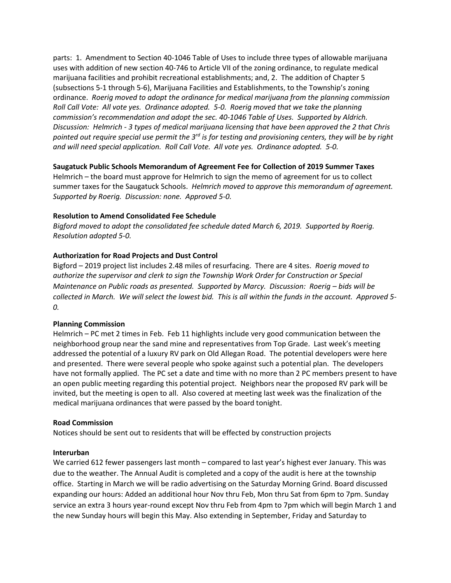parts: 1. Amendment to Section 40-1046 Table of Uses to include three types of allowable marijuana uses with addition of new section 40-746 to Article VII of the zoning ordinance, to regulate medical marijuana facilities and prohibit recreational establishments; and, 2. The addition of Chapter 5 (subsections 5-1 through 5-6), Marijuana Facilities and Establishments, to the Township's zoning ordinance. *Roerig moved to adopt the ordinance for medical marijuana from the planning commission Roll Call Vote: All vote yes. Ordinance adopted. 5-0. Roerig moved that we take the planning commission's recommendation and adopt the sec. 40-1046 Table of Uses. Supported by Aldrich. Discussion: Helmrich - 3 types of medical marijuana licensing that have been approved the 2 that Chris pointed out require special use permit the 3rd is for testing and provisioning centers, they will be by right and will need special application. Roll Call Vote. All vote yes. Ordinance adopted. 5-0.*

## **Saugatuck Public Schools Memorandum of Agreement Fee for Collection of 2019 Summer Taxes**

Helmrich – the board must approve for Helmrich to sign the memo of agreement for us to collect summer taxes for the Saugatuck Schools. *Helmrich moved to approve this memorandum of agreement. Supported by Roerig. Discussion: none. Approved 5-0.* 

## **Resolution to Amend Consolidated Fee Schedule**

*Bigford moved to adopt the consolidated fee schedule dated March 6, 2019. Supported by Roerig. Resolution adopted 5-0.*

# **Authorization for Road Projects and Dust Control**

Bigford – 2019 project list includes 2.48 miles of resurfacing. There are 4 sites. *Roerig moved to authorize the supervisor and clerk to sign the Township Work Order for Construction or Special Maintenance on Public roads as presented. Supported by Marcy. Discussion: Roerig – bids will be collected in March. We will select the lowest bid. This is all within the funds in the account. Approved 5- 0.* 

## **Planning Commission**

Helmrich – PC met 2 times in Feb. Feb 11 highlights include very good communication between the neighborhood group near the sand mine and representatives from Top Grade. Last week's meeting addressed the potential of a luxury RV park on Old Allegan Road. The potential developers were here and presented. There were several people who spoke against such a potential plan. The developers have not formally applied. The PC set a date and time with no more than 2 PC members present to have an open public meeting regarding this potential project. Neighbors near the proposed RV park will be invited, but the meeting is open to all. Also covered at meeting last week was the finalization of the medical marijuana ordinances that were passed by the board tonight.

## **Road Commission**

Notices should be sent out to residents that will be effected by construction projects

## **Interurban**

We carried 612 fewer passengers last month – compared to last year's highest ever January. This was due to the weather. The Annual Audit is completed and a copy of the audit is here at the township office. Starting in March we will be radio advertising on the Saturday Morning Grind. Board discussed expanding our hours: Added an additional hour Nov thru Feb, Mon thru Sat from 6pm to 7pm. Sunday service an extra 3 hours year-round except Nov thru Feb from 4pm to 7pm which will begin March 1 and the new Sunday hours will begin this May. Also extending in September, Friday and Saturday to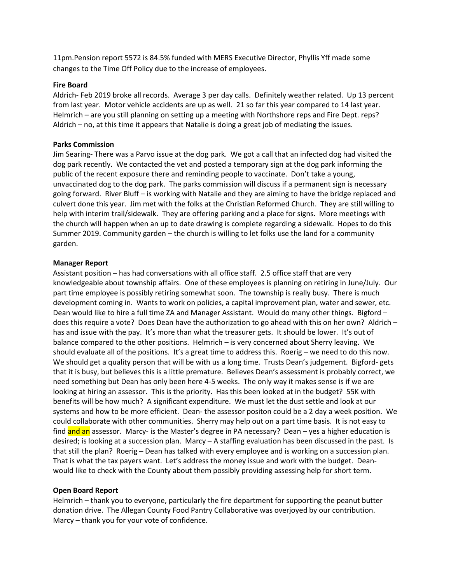11pm.Pension report 5572 is 84.5% funded with MERS Executive Director, Phyllis Yff made some changes to the Time Off Policy due to the increase of employees.

#### **Fire Board**

Aldrich- Feb 2019 broke all records. Average 3 per day calls. Definitely weather related. Up 13 percent from last year. Motor vehicle accidents are up as well. 21 so far this year compared to 14 last year. Helmrich – are you still planning on setting up a meeting with Northshore reps and Fire Dept. reps? Aldrich – no, at this time it appears that Natalie is doing a great job of mediating the issues.

#### **Parks Commission**

Jim Searing- There was a Parvo issue at the dog park. We got a call that an infected dog had visited the dog park recently. We contacted the vet and posted a temporary sign at the dog park informing the public of the recent exposure there and reminding people to vaccinate. Don't take a young, unvaccinated dog to the dog park. The parks commission will discuss if a permanent sign is necessary going forward. River Bluff – is working with Natalie and they are aiming to have the bridge replaced and culvert done this year. Jim met with the folks at the Christian Reformed Church. They are still willing to help with interim trail/sidewalk. They are offering parking and a place for signs. More meetings with the church will happen when an up to date drawing is complete regarding a sidewalk. Hopes to do this Summer 2019. Community garden – the church is willing to let folks use the land for a community garden.

#### **Manager Report**

Assistant position – has had conversations with all office staff. 2.5 office staff that are very knowledgeable about township affairs. One of these employees is planning on retiring in June/July. Our part time employee is possibly retiring somewhat soon. The township is really busy. There is much development coming in. Wants to work on policies, a capital improvement plan, water and sewer, etc. Dean would like to hire a full time ZA and Manager Assistant. Would do many other things. Bigford – does this require a vote? Does Dean have the authorization to go ahead with this on her own? Aldrich – has and issue with the pay. It's more than what the treasurer gets. It should be lower. It's out of balance compared to the other positions. Helmrich – is very concerned about Sherry leaving. We should evaluate all of the positions. It's a great time to address this. Roerig – we need to do this now. We should get a quality person that will be with us a long time. Trusts Dean's judgement. Bigford- gets that it is busy, but believes this is a little premature. Believes Dean's assessment is probably correct, we need something but Dean has only been here 4-5 weeks. The only way it makes sense is if we are looking at hiring an assessor. This is the priority. Has this been looked at in the budget? 55K with benefits will be how much? A significant expenditure. We must let the dust settle and look at our systems and how to be more efficient. Dean- the assessor positon could be a 2 day a week position. We could collaborate with other communities. Sherry may help out on a part time basis. It is not easy to find **and an** assessor. Marcy- is the Master's degree in PA necessary? Dean – yes a higher education is desired; is looking at a succession plan. Marcy – A staffing evaluation has been discussed in the past. Is that still the plan? Roerig – Dean has talked with every employee and is working on a succession plan. That is what the tax payers want. Let's address the money issue and work with the budget. Deanwould like to check with the County about them possibly providing assessing help for short term.

#### **Open Board Report**

Helmrich – thank you to everyone, particularly the fire department for supporting the peanut butter donation drive. The Allegan County Food Pantry Collaborative was overjoyed by our contribution. Marcy – thank you for your vote of confidence.